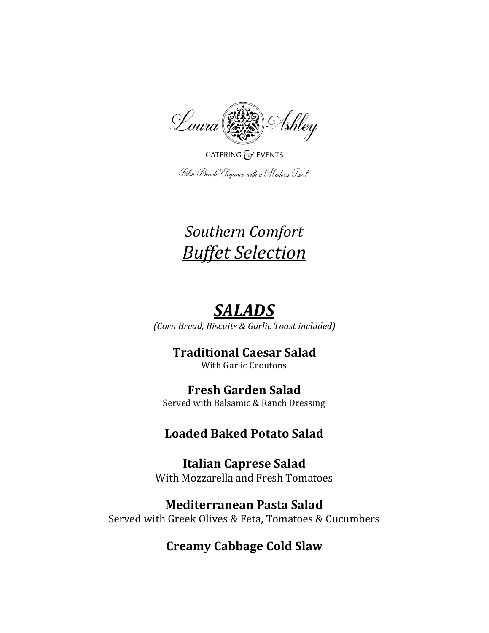

CATERING  $\xi$  EVENTS Palm Beach Elegance with a Modern Twist

# *Southern Comfort Buffet Selection*

# *SALADS*

*(Corn Bread, Biscuits & Garlic Toast included)*

## **Traditional Caesar Salad**

With Garlic Croutons

### **Fresh Garden Salad**

Served with Balsamic & Ranch Dressing

## **Loaded Baked Potato Salad**

**Italian Caprese Salad**  With Mozzarella and Fresh Tomatoes

## **Mediterranean Pasta Salad**

Served with Greek Olives & Feta, Tomatoes & Cucumbers

## **Creamy Cabbage Cold Slaw**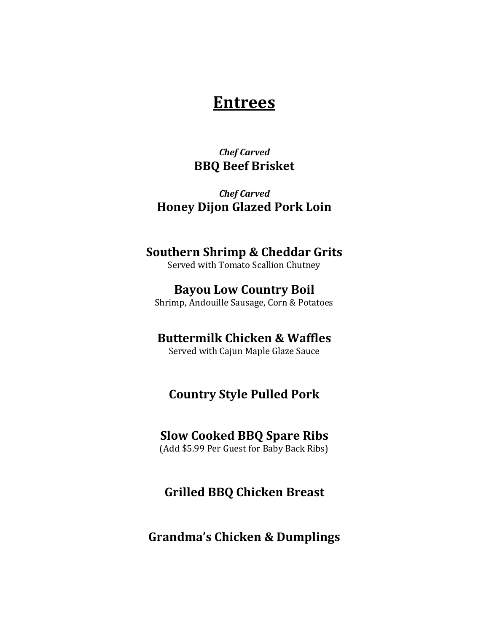## **Entrees**

#### *Chef Carved*  **BBQ Beef Brisket**

*Chef Carved*  **Honey Dijon Glazed Pork Loin** 

#### **Southern Shrimp & Cheddar Grits**

Served with Tomato Scallion Chutney

#### **Bayou Low Country Boil**

Shrimp, Andouille Sausage, Corn & Potatoes

#### **Buttermilk Chicken & Waffles**

Served with Cajun Maple Glaze Sauce

### **Country Style Pulled Pork**

#### **Slow Cooked BBQ Spare Ribs**

(Add \$5.99 Per Guest for Baby Back Ribs)

#### **Grilled BBQ Chicken Breast**

#### **Grandma's Chicken & Dumplings**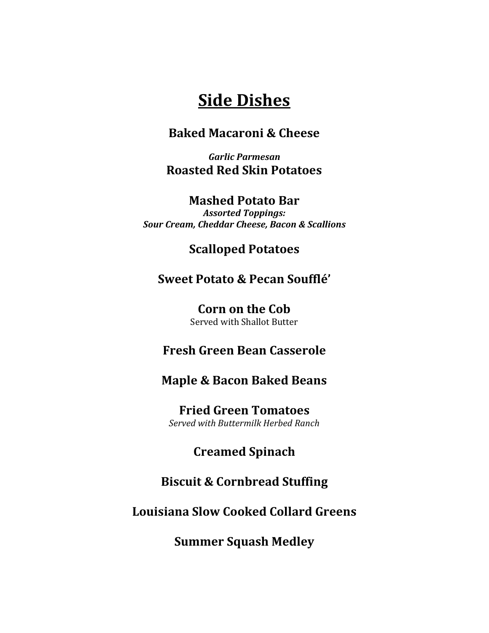# **Side Dishes**

#### **Baked Macaroni & Cheese**

*Garlic Parmesan*  **Roasted Red Skin Potatoes**

#### **Mashed Potato Bar**

*Assorted Toppings: Sour Cream, Cheddar Cheese, Bacon & Scallions* 

#### **Scalloped Potatoes**

#### **Sweet Potato & Pecan Soufflé'**

**Corn on the Cob** Served with Shallot Butter

#### **Fresh Green Bean Casserole**

#### **Maple & Bacon Baked Beans**

**Fried Green Tomatoes**  *Served with Buttermilk Herbed Ranch* 

#### **Creamed Spinach**

#### **Biscuit & Cornbread Stuffing**

#### **Louisiana Slow Cooked Collard Greens**

**Summer Squash Medley**